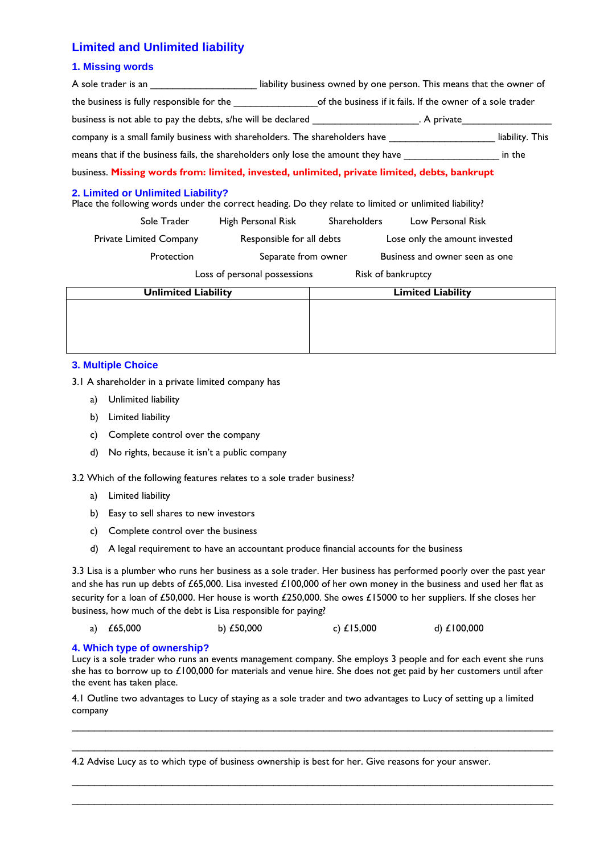## **Limited and Unlimited liability**

### **1. Missing words**

| A sole trader is an <b>A solution A</b> sole trader is an                                                                                    | liability business owned by one person. This means that the owner of |                                |  |  |  |  |
|----------------------------------------------------------------------------------------------------------------------------------------------|----------------------------------------------------------------------|--------------------------------|--|--|--|--|
| the business is fully responsible for the same set of the business if it fails. If the owner of a sole trader                                |                                                                      |                                |  |  |  |  |
| business is not able to pay the debts, s/he will be declared ____________________. A private__________________                               |                                                                      |                                |  |  |  |  |
| company is a small family business with shareholders. The shareholders have __________________________________<br>liability. This            |                                                                      |                                |  |  |  |  |
| means that if the business fails, the shareholders only lose the amount they have in the in the                                              |                                                                      |                                |  |  |  |  |
| business. Missing words from: limited, invested, unlimited, private limited, debts, bankrupt                                                 |                                                                      |                                |  |  |  |  |
| 2. Limited or Unlimited Liability?<br>Place the following words under the correct heading. Do they relate to limited or unlimited liability? |                                                                      |                                |  |  |  |  |
| Sole Trader                                                                                                                                  | High Personal Risk Shareholders Low Personal Risk                    |                                |  |  |  |  |
| Private Limited Company                                                                                                                      | Responsible for all debts                                            | Lose only the amount invested  |  |  |  |  |
| Protection                                                                                                                                   | Separate from owner                                                  | Business and owner seen as one |  |  |  |  |

Loss of personal possessions Risk of bankruptcy

| <b>Unlimited Liability</b> | <b>Limited Liability</b> |
|----------------------------|--------------------------|
|                            |                          |
|                            |                          |
|                            |                          |
|                            |                          |

### **3. Multiple Choice**

3.1 A shareholder in a private limited company has

- a) Unlimited liability
- b) Limited liability
- c) Complete control over the company
- d) No rights, because it isn't a public company

3.2 Which of the following features relates to a sole trader business?

- a) Limited liability
- b) Easy to sell shares to new investors
- c) Complete control over the business
- d) A legal requirement to have an accountant produce financial accounts for the business

3.3 Lisa is a plumber who runs her business as a sole trader. Her business has performed poorly over the past year and she has run up debts of £65,000. Lisa invested £100,000 of her own money in the business and used her flat as security for a loan of £50,000. Her house is worth £250,000. She owes £15000 to her suppliers. If she closes her business, how much of the debt is Lisa responsible for paying?

|  | a) $£65,000$ | b) $£50,000$ | c) $£15,000$ | d) £100,000 |
|--|--------------|--------------|--------------|-------------|
|--|--------------|--------------|--------------|-------------|

#### **4. Which type of ownership?**

Lucy is a sole trader who runs an events management company. She employs 3 people and for each event she runs she has to borrow up to £100,000 for materials and venue hire. She does not get paid by her customers until after the event has taken place.

4.1 Outline two advantages to Lucy of staying as a sole trader and two advantages to Lucy of setting up a limited company

\_\_\_\_\_\_\_\_\_\_\_\_\_\_\_\_\_\_\_\_\_\_\_\_\_\_\_\_\_\_\_\_\_\_\_\_\_\_\_\_\_\_\_\_\_\_\_\_\_\_\_\_\_\_\_\_\_\_\_\_\_\_\_\_\_\_\_\_\_\_\_\_\_\_\_\_\_\_\_\_\_\_\_\_\_\_ \_\_\_\_\_\_\_\_\_\_\_\_\_\_\_\_\_\_\_\_\_\_\_\_\_\_\_\_\_\_\_\_\_\_\_\_\_\_\_\_\_\_\_\_\_\_\_\_\_\_\_\_\_\_\_\_\_\_\_\_\_\_\_\_\_\_\_\_\_\_\_\_\_\_\_\_\_\_\_\_\_\_\_\_\_\_

\_\_\_\_\_\_\_\_\_\_\_\_\_\_\_\_\_\_\_\_\_\_\_\_\_\_\_\_\_\_\_\_\_\_\_\_\_\_\_\_\_\_\_\_\_\_\_\_\_\_\_\_\_\_\_\_\_\_\_\_\_\_\_\_\_\_\_\_\_\_\_\_\_\_\_\_\_\_\_\_\_\_\_\_\_\_

4.2 Advise Lucy as to which type of business ownership is best for her. Give reasons for your answer.